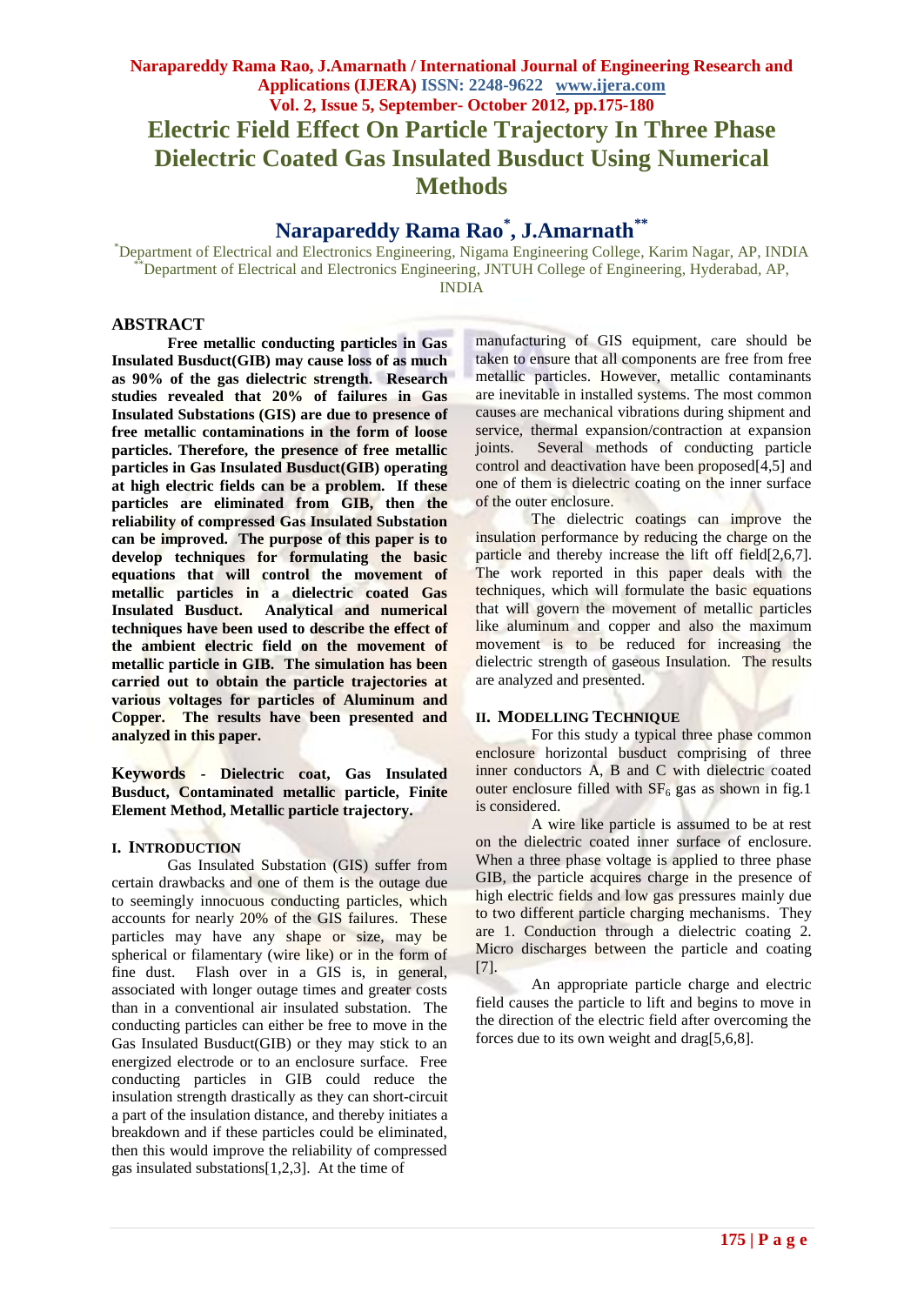**Dielectric Coated Gas Insulated Busduct Using Numerical Methods**

# **Narapareddy Rama Rao\* , J.Amarnath\*\***

\*Department of Electrical and Electronics Engineering, Nigama Engineering College, Karim Nagar, AP, INDIA Department of Electrical and Electronics Engineering, JNTUH College of Engineering, Hyderabad, AP,

INDIA

# **ABSTRACT**

**Free metallic conducting particles in Gas Insulated Busduct(GIB) may cause loss of as much as 90% of the gas dielectric strength. Research studies revealed that 20% of failures in Gas Insulated Substations (GIS) are due to presence of free metallic contaminations in the form of loose particles. Therefore, the presence of free metallic particles in Gas Insulated Busduct(GIB) operating at high electric fields can be a problem. If these particles are eliminated from GIB, then the reliability of compressed Gas Insulated Substation can be improved. The purpose of this paper is to develop techniques for formulating the basic equations that will control the movement of metallic particles in a dielectric coated Gas Insulated Busduct. Analytical and numerical techniques have been used to describe the effect of the ambient electric field on the movement of metallic particle in GIB. The simulation has been carried out to obtain the particle trajectories at various voltages for particles of Aluminum and Copper. The results have been presented and analyzed in this paper.**

**Keywords** *-* **Dielectric coat, Gas Insulated Busduct, Contaminated metallic particle, Finite Element Method, Metallic particle trajectory.**

# **I. INTRODUCTION**

Gas Insulated Substation (GIS) suffer from certain drawbacks and one of them is the outage due to seemingly innocuous conducting particles, which accounts for nearly 20% of the GIS failures. These particles may have any shape or size, may be spherical or filamentary (wire like) or in the form of fine dust. Flash over in a GIS is, in general, associated with longer outage times and greater costs than in a conventional air insulated substation. The conducting particles can either be free to move in the Gas Insulated Busduct(GIB) or they may stick to an energized electrode or to an enclosure surface. Free conducting particles in GIB could reduce the insulation strength drastically as they can short-circuit a part of the insulation distance, and thereby initiates a breakdown and if these particles could be eliminated, then this would improve the reliability of compressed gas insulated substations[1,2,3]. At the time of

manufacturing of GIS equipment, care should be taken to ensure that all components are free from free metallic particles. However, metallic contaminants are inevitable in installed systems. The most common causes are mechanical vibrations during shipment and service, thermal expansion/contraction at expansion joints. Several methods of conducting particle control and deactivation have been proposed[4,5] and one of them is dielectric coating on the inner surface of the outer enclosure.

The dielectric coatings can improve the insulation performance by reducing the charge on the particle and thereby increase the lift off field[2,6,7]. The work reported in this paper deals with the techniques, which will formulate the basic equations that will govern the movement of metallic particles like aluminum and copper and also the maximum movement is to be reduced for increasing the dielectric strength of gaseous Insulation. The results are analyzed and presented.

#### **II. MODELLING TECHNIQUE**

For this study a typical three phase common enclosure horizontal busduct comprising of three inner conductors A, B and C with dielectric coated outer enclosure filled with  $SF<sub>6</sub>$  gas as shown in fig.1 is considered.

A wire like particle is assumed to be at rest on the dielectric coated inner surface of enclosure. When a three phase voltage is applied to three phase GIB, the particle acquires charge in the presence of high electric fields and low gas pressures mainly due to two different particle charging mechanisms. They are 1. Conduction through a dielectric coating 2. Micro discharges between the particle and coating [7].

An appropriate particle charge and electric field causes the particle to lift and begins to move in the direction of the electric field after overcoming the forces due to its own weight and drag[5,6,8].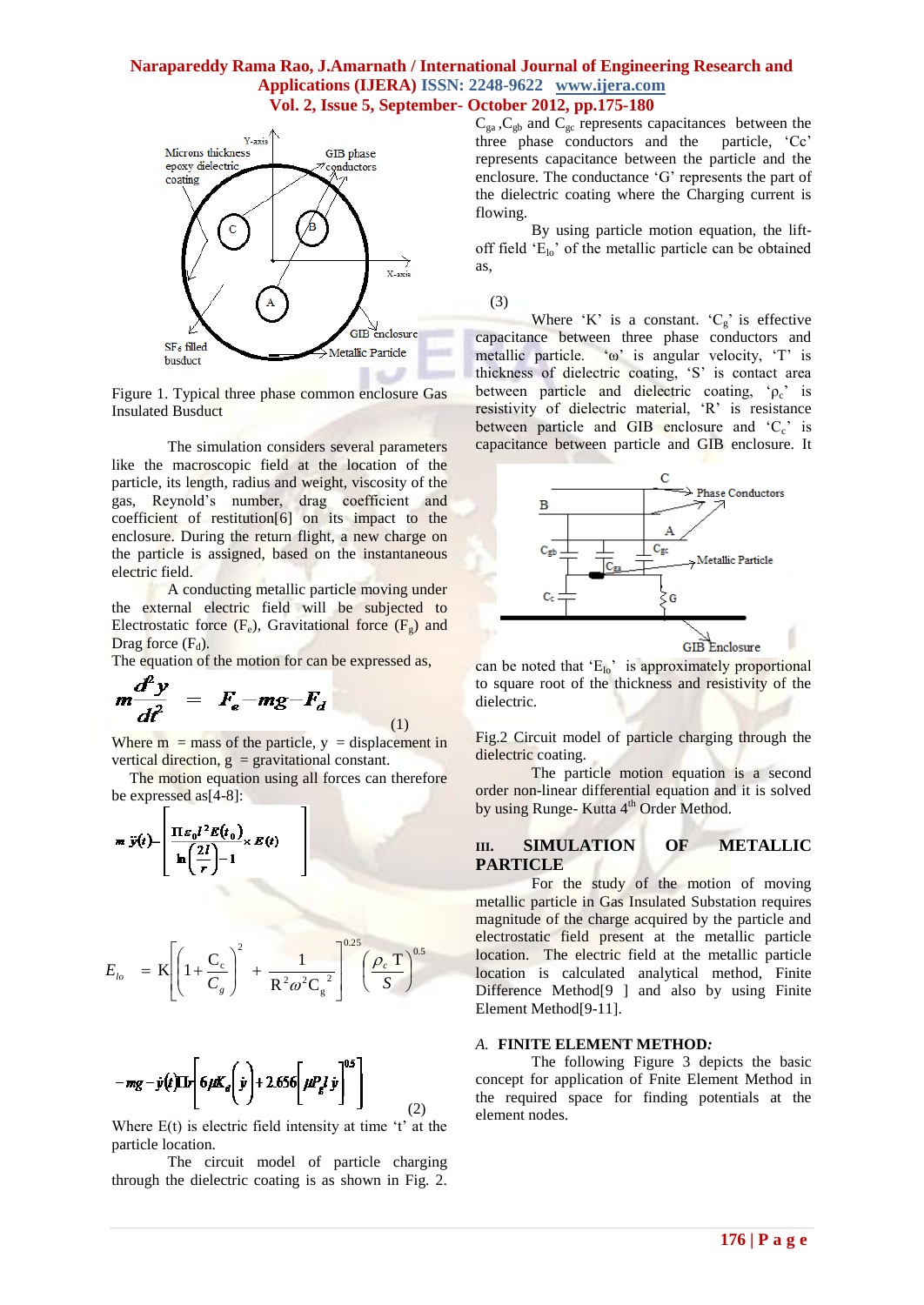

Figure 1. Typical three phase common enclosure Gas Insulated Busduct

The simulation considers several parameters like the macroscopic field at the location of the particle, its length, radius and weight, viscosity of the gas, Reynold"s number, drag coefficient and coefficient of restitution[6] on its impact to the enclosure. During the return flight, a new charge on the particle is assigned, based on the instantaneous electric field.

A conducting metallic particle moving under the external electric field will be subjected to Electrostatic force  $(F_e)$ , Gravitational force  $(F_g)$  and Drag force  $(F_d)$ .

The equation of the motion for can be expressed as,

$$
m \frac{d^2 y}{dt^2} = F_e - mg - F_d
$$

(1) Where  $m =$  mass of the particle,  $y =$  displacement in vertical direction,  $g =$  gravitational constant.

The motion equation using all forces can therefore be expressed as[4-8]:

$$
\mathbf{m} \ \ddot{\mathbf{y}}(t) = \begin{bmatrix} \frac{\prod_{i} \mathbf{g}_0 i^2 E(t_0)}{\ln\left(\frac{2i}{r}\right) - 1} \times E(t) \end{bmatrix}
$$

$$
E_{l_o} = \text{K} \left[ \left( 1 + \frac{\text{C}_c}{\text{C}_g} \right)^2 + \frac{1}{\text{R}^2 \omega^2 \text{C}_g^2} \right]^{0.25} \left( \frac{\rho_c \text{ T}}{\text{S}} \right)^{0.5}
$$

$$
-mg - \dot{y}(t)\mathrm{Tr}\left[6\mu K_d\left(\dot{y}\right) + 2.656\left[\mu P_g l \dot{y}\right]^{0.5}\right]
$$
 (2)

Where  $E(t)$  is electric field intensity at time 't' at the particle location.

The circuit model of particle charging through the dielectric coating is as shown in Fig. 2.

 $C_{ga}$ ,  $C_{gb}$  and  $C_{gc}$  represents capacitances between the three phase conductors and the particle, "Cc" represents capacitance between the particle and the enclosure. The conductance "G" represents the part of the dielectric coating where the Charging current is flowing.

By using particle motion equation, the liftoff field  $E_{\text{lo}}$  of the metallic particle can be obtained as,



Where 'K' is a constant.  ${}^tC_g$ ' is effective capacitance between three phase conductors and metallic particle. "ω" is angular velocity, "T" is thickness of dielectric coating, "S" is contact area between particle and dielectric coating,  $\varphi_c$  is resistivity of dielectric material, 'R' is resistance between particle and GIB enclosure and  ${}^cC_c$  is capacitance between particle and GIB enclosure. It



can be noted that  $E_{10}$ " is approximately proportional to square root of the thickness and resistivity of the dielectric.

Fig.2 Circuit model of particle charging through the dielectric coating.

The particle motion equation is a second order non-linear differential equation and it is solved by using Runge- Kutta 4<sup>th</sup> Order Method.

#### **III. SIMULATION OF METALLIC PARTICLE**

For the study of the motion of moving metallic particle in Gas Insulated Substation requires magnitude of the charge acquired by the particle and electrostatic field present at the metallic particle location. The electric field at the metallic particle location is calculated analytical method, Finite Difference Method[9 ] and also by using Finite Element Method[9-11].

#### *A.* **FINITE ELEMENT METHOD***:*

The following Figure 3 depicts the basic concept for application of Fnite Element Method in the required space for finding potentials at the element nodes.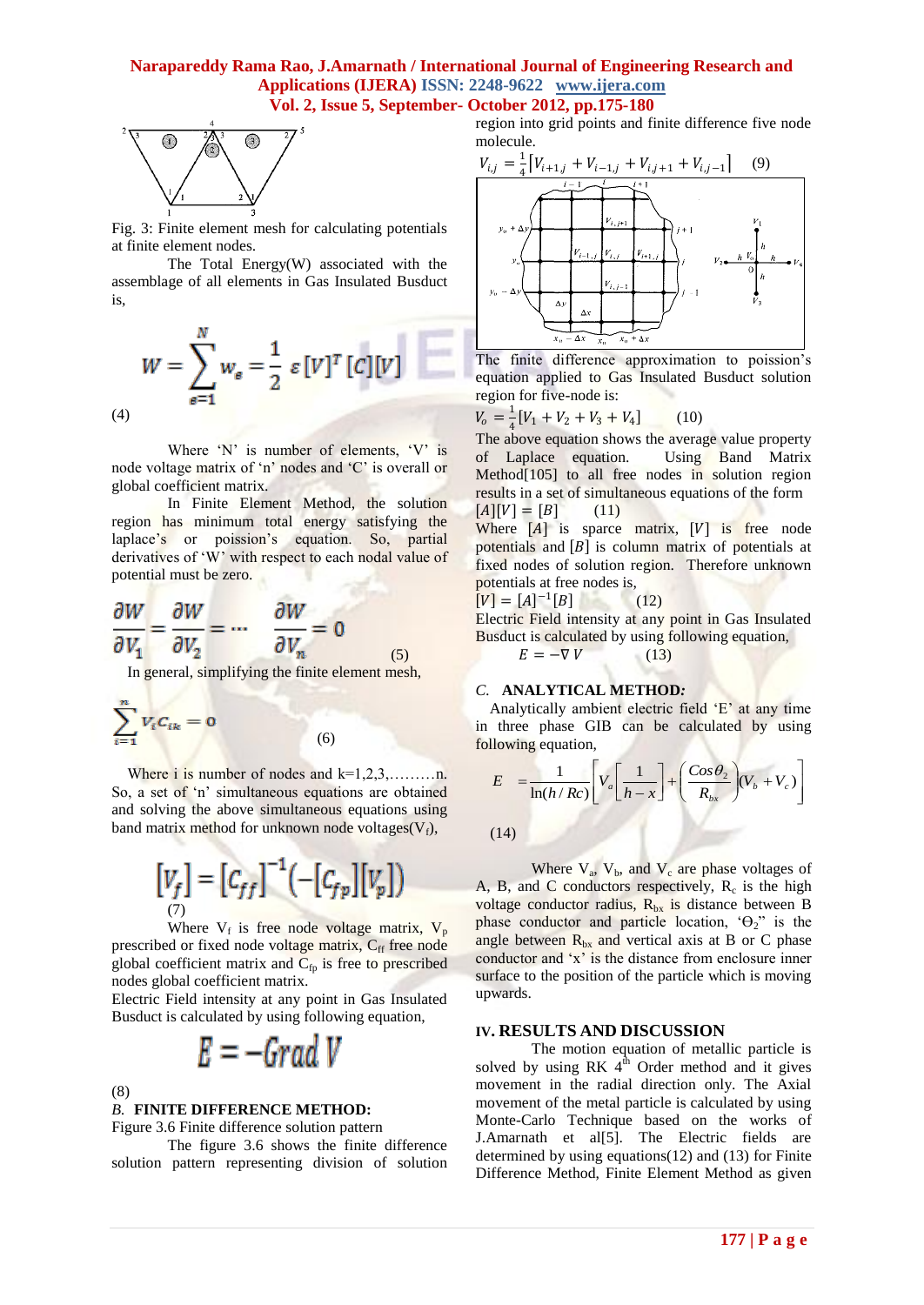

Fig. 3: Finite element mesh for calculating potentials at finite element nodes.

The Total Energy(W) associated with the assemblage of all elements in Gas Insulated Busduct is,

$$
W = \sum_{\epsilon=1}^{N} w_{\epsilon} = \frac{1}{2} \varepsilon [V]^T [C][V]
$$

Where  $'N'$  is number of elements,  $'V'$  is node voltage matrix of 'n' nodes and 'C' is overall or global coefficient matrix.

In Finite Element Method, the solution region has minimum total energy satisfying the laplace's or poission's equation. So, partial derivatives of 'W' with respect to each nodal value of potential must be zero.

$$
\frac{\partial W}{\partial V_1} = \frac{\partial W}{\partial V_2} = \dots \quad \frac{\partial W}{\partial V_n} = 0
$$
 (5)

In general, simplifying the finite element mesh,

$$
\sum_{i=1}^n V_i C_{ik} = 0
$$

Where i is number of nodes and  $k=1,2,3,...,...,n$ . So, a set of 'n' simultaneous equations are obtained and solving the above simultaneous equations using band matrix method for unknown node voltages $(V_f)$ ,

(6)

$$
\begin{bmatrix} V_f \end{bmatrix} = \begin{bmatrix} C_{ff} \end{bmatrix}^{-1} \left( - \begin{bmatrix} C_{fp} \end{bmatrix} \begin{bmatrix} V_p \end{bmatrix} \right)
$$

Where  $V_f$  is free node voltage matrix,  $V_p$ prescribed or fixed node voltage matrix, C<sub>ff</sub> free node global coefficient matrix and  $C_{fp}$  is free to prescribed nodes global coefficient matrix.

Electric Field intensity at any point in Gas Insulated Busduct is calculated by using following equation,

$$
E = -Grad\ V
$$

(8)

# *B.* **FINITE DIFFERENCE METHOD:**

Figure 3.6 Finite difference solution pattern

The figure 3.6 shows the finite difference solution pattern representing division of solution region into grid points and finite difference five node molecule.



The finite difference approximation to poission's equation applied to Gas Insulated Busduct solution region for five-node is:

$$
V_o = \frac{1}{4} [V_1 + V_2 + V_3 + V_4]
$$
 (10)

 $\frac{4}{4}$  The  $\frac{4}{4}$  The above equation shows the average value property of Laplace equation. Using Band Matrix Method $[105]$  to all free nodes in solution region results in a set of simultaneous equations of the form  $[A][V] = [B]$  (11)

Where  $[A]$  is sparce matrix,  $[V]$  is free node potentials and  $[B]$  is column matrix of potentials at fixed nodes of solution region. Therefore unknown potentials at free nodes is,

$$
[V] = [A]^{-1}[B] \tag{12}
$$

Electric Field intensity at any point in Gas Insulated Busduct is calculated by using following equation,  $E = -\nabla V$  (13)

$$
\mathcal{L} = \mathcal{L} \mathcal{L} = \mathcal{L} \mathcal{L}
$$

# *C.* **ANALYTICAL METHOD***:*

Analytically ambient electric field "E" at any time in three phase GIB can be calculated by using following equation,

$$
E = \frac{1}{\ln(h/Rc)} \left[ V_a \left[ \frac{1}{h-x} \right] + \left( \frac{Cos \theta_2}{R_{bx}} \right) (V_b + V_c) \right]
$$

(14)

Where  $V_a$ ,  $V_b$ , and  $V_c$  are phase voltages of A, B, and C conductors respectively,  $R_c$  is the high voltage conductor radius,  $R_{bx}$  is distance between B phase conductor and particle location,  $\Theta_2$ " is the angle between  $R_{bx}$  and vertical axis at B or C phase conductor and 'x' is the distance from enclosure inner surface to the position of the particle which is moving upwards.

#### **IV. RESULTS AND DISCUSSION**

The motion equation of metallic particle is solved by using RK  $4^{\hat{th}}$  Order method and it gives movement in the radial direction only. The Axial movement of the metal particle is calculated by using Monte-Carlo Technique based on the works of J.Amarnath et al[5]. The Electric fields are determined by using equations(12) and (13) for Finite Difference Method, Finite Element Method as given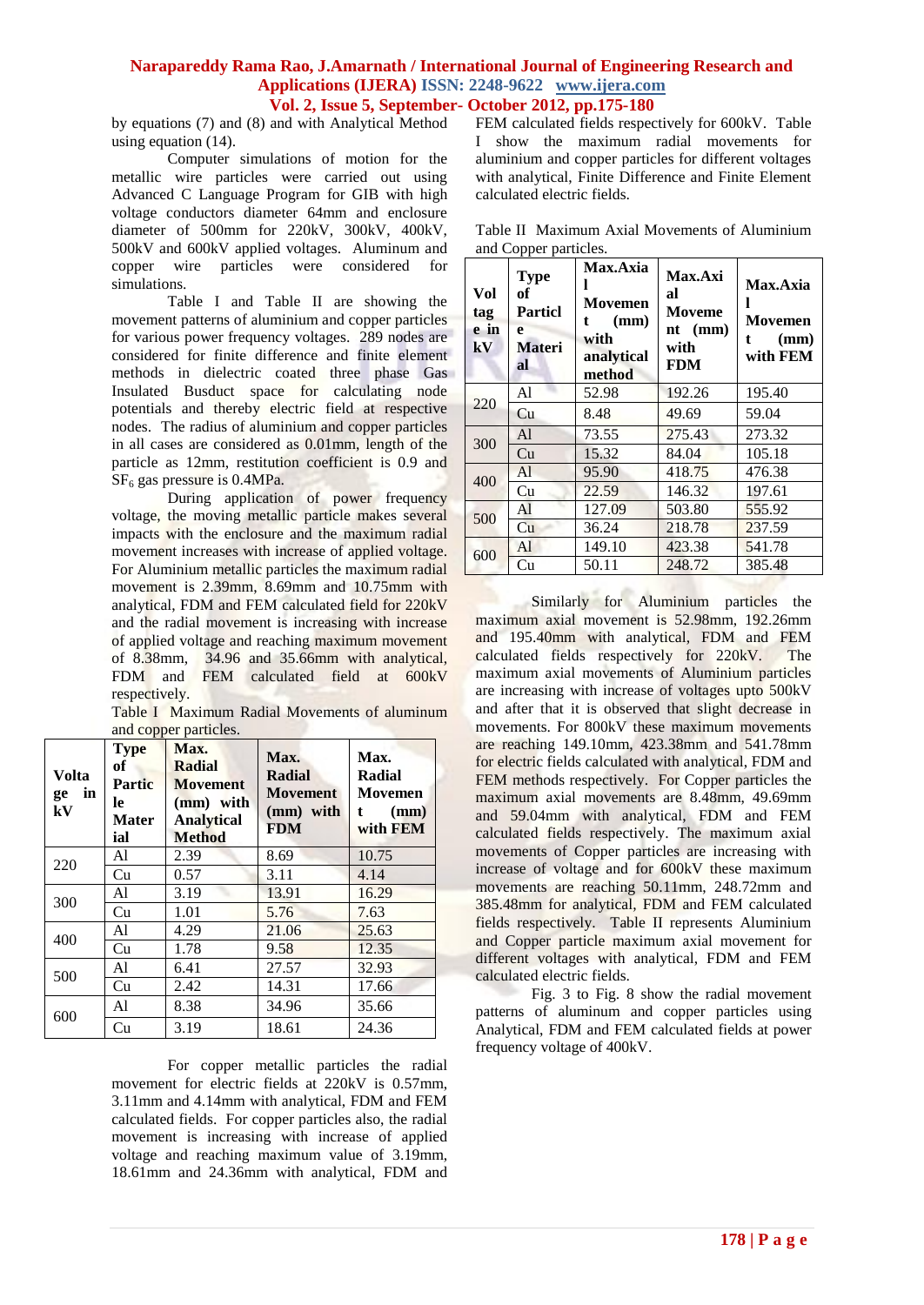by equations (7) and (8) and with Analytical Method using equation (14).

Computer simulations of motion for the metallic wire particles were carried out using Advanced C Language Program for GIB with high voltage conductors diameter 64mm and enclosure diameter of 500mm for 220kV, 300kV, 400kV, 500kV and 600kV applied voltages. Aluminum and copper wire particles were considered for simulations.

Table I and Table II are showing the movement patterns of aluminium and copper particles for various power frequency voltages. 289 nodes are considered for finite difference and finite element methods in dielectric coated three phase Gas Insulated Busduct space for calculating node potentials and thereby electric field at respective nodes. The radius of aluminium and copper particles in all cases are considered as 0.01mm, length of the particle as 12mm, restitution coefficient is 0.9 and  $SF<sub>6</sub>$  gas pressure is 0.4MPa.

During application of power frequency voltage, the moving metallic particle makes several impacts with the enclosure and the maximum radial movement increases with increase of applied voltage. For Aluminium metallic particles the maximum radial movement is 2.39mm, 8.69mm and 10.75mm with analytical, FDM and FEM calculated field for 220kV and the radial movement is increasing with increase of applied voltage and reaching maximum movement of 8.38mm, 34.96 and 35.66mm with analytical, FDM and FEM calculated field at 600kV respectively.

Table I Maximum Radial Movements of aluminum and copper particles.

| Volta<br>in<br>ge<br>kV | <b>Type</b><br>оf<br><b>Partic</b><br>le<br>Mater<br>ial | Max.<br>Radial<br><b>Movement</b><br>(mm) with<br><b>Analytical</b><br><b>Method</b> | Max.<br><b>Radial</b><br><b>Movement</b><br>(mm) with<br><b>FDM</b> | Max.<br>Radial<br>Movemen<br>(mm)<br>t<br>with FEM |
|-------------------------|----------------------------------------------------------|--------------------------------------------------------------------------------------|---------------------------------------------------------------------|----------------------------------------------------|
| 220                     | Al                                                       | 2.39                                                                                 | 8.69                                                                | 10.75                                              |
|                         | Cu                                                       | 0.57                                                                                 | 3.11                                                                | 4.14                                               |
| 300                     | Al                                                       | 3.19                                                                                 | 13.91                                                               | 16.29                                              |
|                         | Cu                                                       | 1.01                                                                                 | 5.76                                                                | 7.63                                               |
| 400                     | A <sup>1</sup>                                           | 4.29                                                                                 | 21.06                                                               | 25.63                                              |
|                         | Cu                                                       | 1.78                                                                                 | 9.58                                                                | 12.35                                              |
| 500                     | A <sup>1</sup>                                           | 6.41                                                                                 | 27.57                                                               | 32.93                                              |
|                         | Cu                                                       | 2.42                                                                                 | 14.31                                                               | 17.66                                              |
| 600                     | A1                                                       | 8.38                                                                                 | 34.96                                                               | 35.66                                              |
|                         | Cu                                                       | 3.19                                                                                 | 18.61                                                               | 24.36                                              |

For copper metallic particles the radial movement for electric fields at 220kV is 0.57mm, 3.11mm and 4.14mm with analytical, FDM and FEM calculated fields. For copper particles also, the radial movement is increasing with increase of applied voltage and reaching maximum value of 3.19mm, 18.61mm and 24.36mm with analytical, FDM and

FEM calculated fields respectively for 600kV. Table I show the maximum radial movements for aluminium and copper particles for different voltages with analytical, Finite Difference and Finite Element calculated electric fields.

|                       | Table II Maximum Axial Movements of Aluminium |  |  |  |  |  |  |
|-----------------------|-----------------------------------------------|--|--|--|--|--|--|
| and Copper particles. |                                               |  |  |  |  |  |  |

| Vol<br>tag<br>e in<br>$\mathbf{k} \mathbf{V}$ | <b>Type</b><br>of<br><b>Particl</b><br>e<br><b>Materi</b><br>al | <b>Max.Axia</b><br>Movemen<br>(mm)<br>with<br>analytical<br>method | Max.Axi<br>al<br>Moveme<br>$nt \ (mm)$<br>with<br>FDM | Max.Axia<br><b>Movemen</b><br>(mm)<br>with FEM |
|-----------------------------------------------|-----------------------------------------------------------------|--------------------------------------------------------------------|-------------------------------------------------------|------------------------------------------------|
| 220                                           | A1                                                              | 52.98                                                              | 192.26                                                | 195.40                                         |
|                                               | Cu                                                              | 8.48                                                               | 49.69                                                 | 59.04                                          |
| 300                                           | Al                                                              | 73.55                                                              | 275.43                                                | 273.32                                         |
|                                               | Cu                                                              | 15.32                                                              | 84.04                                                 | 105.18                                         |
| 400                                           | A <sup>1</sup>                                                  | 95.90                                                              | 418.75                                                | 476.38                                         |
|                                               | Cu                                                              | 22.59                                                              | 146.32                                                | 197.61                                         |
| 500                                           | Al                                                              | 127.09                                                             | 503.80                                                | 555.92                                         |
|                                               | Cu                                                              | 36.24                                                              | 218.78                                                | 237.59                                         |
| 600                                           | Al                                                              | 149.10                                                             | 423.38                                                | 541.78                                         |
|                                               | Cu                                                              | 50.11                                                              | 248.72                                                | 385.48                                         |

Similarly for Aluminium particles the maximum axial movement is 52.98mm, 192.26mm and 195.40mm with analytical, FDM and FEM calculated fields respectively for 220kV. The maximum axial movements of Aluminium particles are increasing with increase of voltages upto 500kV and after that it is observed that slight decrease in movements. For 800kV these maximum movements are reaching 149.10mm, 423.38mm and 541.78mm for electric fields calculated with analytical, FDM and FEM methods respectively. For Copper particles the maximum axial movements are 8.48mm, 49.69mm and 59.04mm with analytical, FDM and FEM calculated fields respectively. The maximum axial movements of Copper particles are increasing with increase of voltage and for 600kV these maximum movements are reaching 50.11mm, 248.72mm and 385.48mm for analytical, FDM and FEM calculated fields respectively. Table II represents Aluminium and Copper particle maximum axial movement for different voltages with analytical, FDM and FEM calculated electric fields.

Fig. 3 to Fig. 8 show the radial movement patterns of aluminum and copper particles using Analytical, FDM and FEM calculated fields at power frequency voltage of 400kV.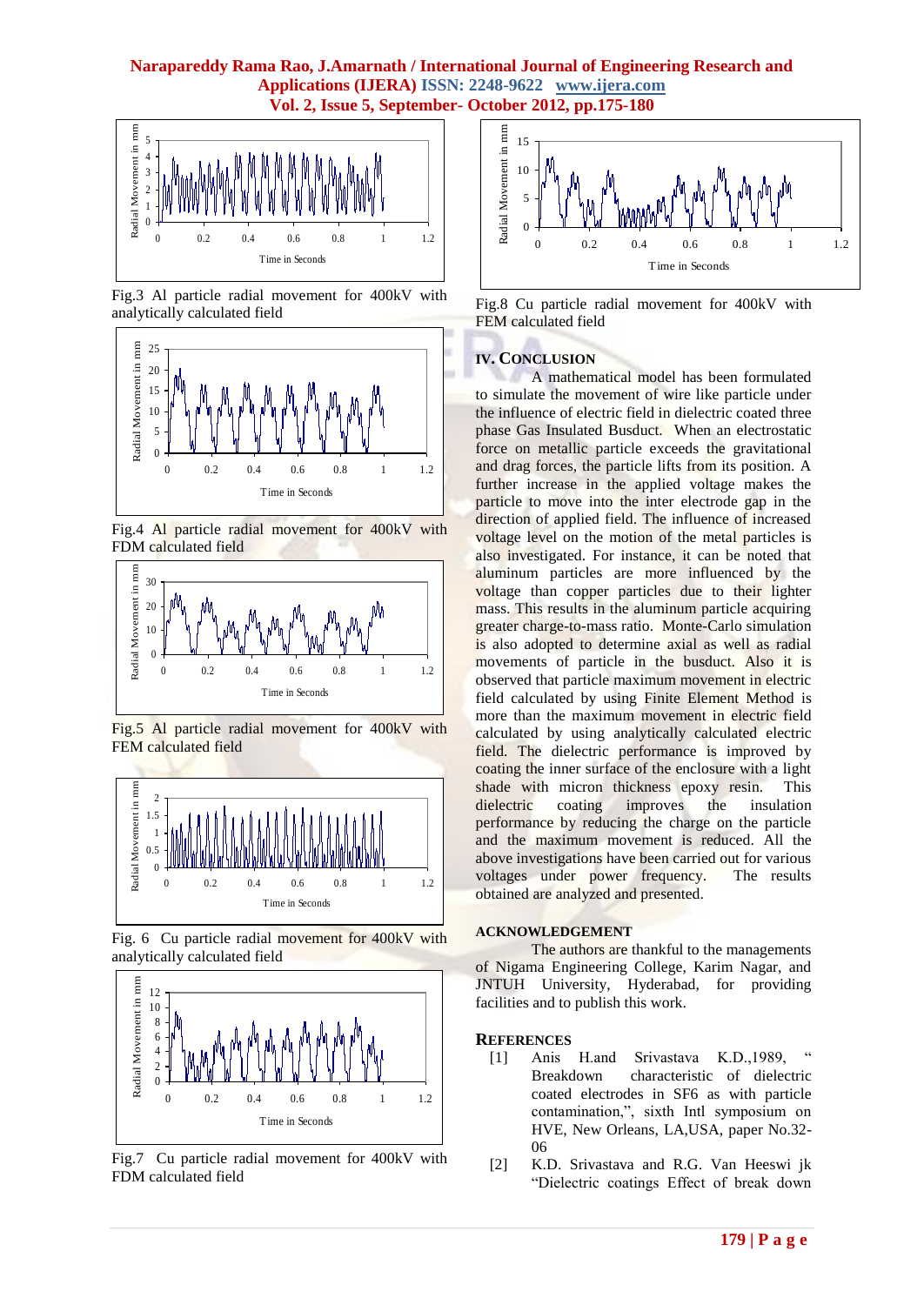

Fig.3 Al particle radial movement for 400kV with analytically calculated field



Fig.4 Al particle radial movement for 400kV with FDM calculated field



Fig.5 Al particle radial movement for 400kV with FEM calculated field



Fig. 6 Cu particle radial movement for 400kV with analytically calculated field



Fig.7 Cu particle radial movement for 400kV with FDM calculated field



Fig.8 Cu particle radial movement for 400kV with FEM calculated field

#### **IV. CONCLUSION**

A mathematical model has been formulated to simulate the movement of wire like particle under the influence of electric field in dielectric coated three phase Gas Insulated Busduct. When an electrostatic force on metallic particle exceeds the gravitational and drag forces, the particle lifts from its position. A further increase in the applied voltage makes the particle to move into the inter electrode gap in the direction of applied field. The influence of increased voltage level on the motion of the metal particles is also investigated. For instance, it can be noted that aluminum particles are more influenced by the voltage than copper particles due to their lighter mass. This results in the aluminum particle acquiring greater charge-to-mass ratio. Monte-Carlo simulation is also adopted to determine axial as well as radial movements of particle in the busduct. Also it is observed that particle maximum movement in electric field calculated by using Finite Element Method is more than the maximum movement in electric field calculated by using analytically calculated electric field. The dielectric performance is improved by coating the inner surface of the enclosure with a light shade with micron thickness epoxy resin. This dielectric coating improves the insulation performance by reducing the charge on the particle and the maximum movement is reduced. All the above investigations have been carried out for various voltages under power frequency. The results obtained are analyzed and presented.

#### **ACKNOWLEDGEMENT**

The authors are thankful to the managements of Nigama Engineering College, Karim Nagar, and JNTUH University, Hyderabad, for providing facilities and to publish this work.

#### **REFERENCES**

- [1] Anis H.and Srivastava K.D., 1989, Breakdown characteristic of dielectric coated electrodes in SF6 as with particle contamination,", sixth Intl symposium on HVE, New Orleans, LA,USA, paper No.32- 06
- [2] K.D. Srivastava and R.G. Van Heeswi jk "Dielectric coatings Effect of break down